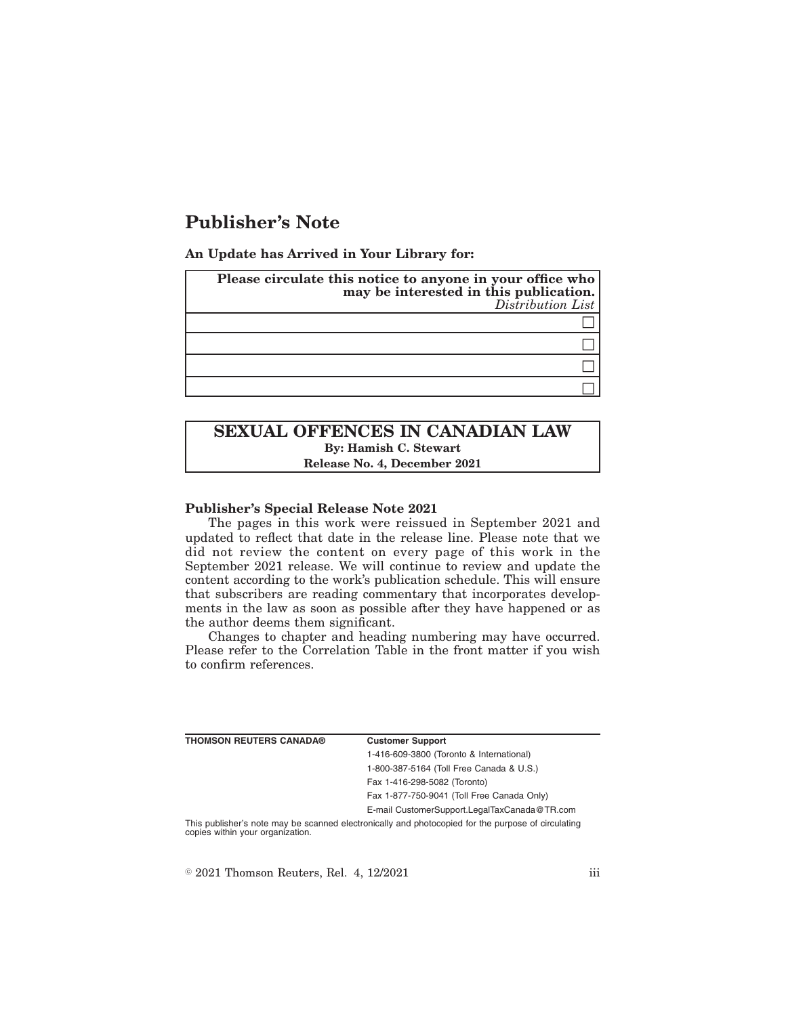# **Publisher's Note**

**An Update has Arrived in Your Library for:**

| Please circulate this notice to anyone in your office who<br>may be interested in this publication.<br>Distribution List |
|--------------------------------------------------------------------------------------------------------------------------|
|                                                                                                                          |
|                                                                                                                          |
|                                                                                                                          |
|                                                                                                                          |

## **SEXUAL OFFENCES IN CANADIAN LAW By: Hamish C. Stewart Release No. 4, December 2021**

#### **Publisher's Special Release Note 2021**

The pages in this work were reissued in September 2021 and updated to reflect that date in the release line. Please note that we did not review the content on every page of this work in the September 2021 release. We will continue to review and update the content according to the work's publication schedule. This will ensure that subscribers are reading commentary that incorporates developments in the law as soon as possible after they have happened or as the author deems them significant.

Changes to chapter and heading numbering may have occurred. Please refer to the Correlation Table in the front matter if you wish to confirm references.

| <b>THOMSON REUTERS CANADA®</b>   | <b>Customer Support</b>                                                                            |
|----------------------------------|----------------------------------------------------------------------------------------------------|
|                                  | 1-416-609-3800 (Toronto & International)                                                           |
|                                  | 1-800-387-5164 (Toll Free Canada & U.S.)                                                           |
|                                  | Fax 1-416-298-5082 (Toronto)                                                                       |
|                                  | Fax 1-877-750-9041 (Toll Free Canada Only)                                                         |
|                                  | E-mail CustomerSupport.LegalTaxCanada@TR.com                                                       |
| copies within your organization. | This publisher's note may be scanned electronically and photocopied for the purpose of circulating |

 $\textdegree$  2021 Thomson Reuters, Rel. 4, 12/2021 iii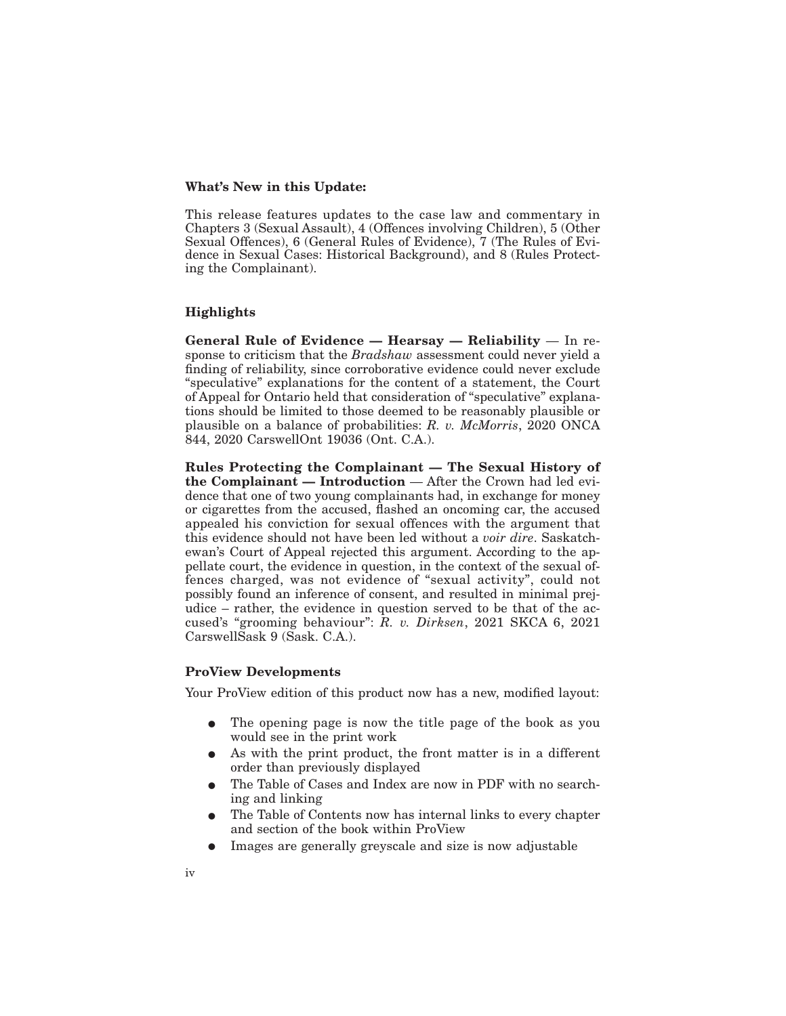#### **What's New in this Update:**

This release features updates to the case law and commentary in Chapters 3 (Sexual Assault), 4 (Offences involving Children), 5 (Other Sexual Offences), 6 (General Rules of Evidence), 7 (The Rules of Evidence in Sexual Cases: Historical Background), and 8 (Rules Protecting the Complainant).

#### **Highlights**

**General Rule of Evidence — Hearsay — Reliability** — In response to criticism that the *Bradshaw* assessment could never yield a finding of reliability, since corroborative evidence could never exclude "speculative" explanations for the content of a statement, the Court of Appeal for Ontario held that consideration of "speculative" explanations should be limited to those deemed to be reasonably plausible or plausible on a balance of probabilities: *R. v. McMorris*, 2020 ONCA 844, 2020 CarswellOnt 19036 (Ont. C.A.).

**Rules Protecting the Complainant — The Sexual History of the Complainant — Introduction** — After the Crown had led evidence that one of two young complainants had, in exchange for money or cigarettes from the accused, flashed an oncoming car, the accused appealed his conviction for sexual offences with the argument that this evidence should not have been led without a *voir dire*. Saskatchewan's Court of Appeal rejected this argument. According to the appellate court, the evidence in question, in the context of the sexual offences charged, was not evidence of "sexual activity", could not possibly found an inference of consent, and resulted in minimal prejudice – rather, the evidence in question served to be that of the accused's "grooming behaviour": *R. v. Dirksen*, 2021 SKCA 6, 2021 CarswellSask 9 (Sask. C.A.).

### **ProView Developments**

Your ProView edition of this product now has a new, modified layout:

- The opening page is now the title page of the book as you would see in the print work
- As with the print product, the front matter is in a different order than previously displayed
- The Table of Cases and Index are now in PDF with no searching and linking
- The Table of Contents now has internal links to every chapter and section of the book within ProView
- Images are generally greyscale and size is now adjustable